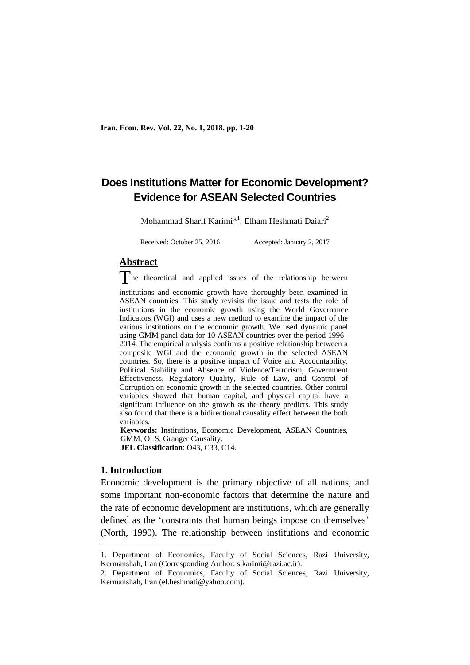# **Does Institutions Matter for Economic Development? Evidence for ASEAN Selected Countries**

Mohammad Sharif Karimi<sup>\*1</sup>, Elham Heshmati Daiari<sup>2</sup>

Received: October 25, 2016 Accepted: January 2, 2017

## **Abstract**

The theoretical and applied issues of the relationship between

institutions and economic growth have thoroughly been examined in ASEAN countries. This study revisits the issue and tests the role of institutions in the economic growth using the World Governance Indicators (WGI) and uses a new method to examine the impact of the various institutions on the economic growth. We used dynamic panel using GMM panel data for 10 ASEAN countries over the period 1996– 2014. The empirical analysis confirms a positive relationship between a composite WGI and the economic growth in the selected ASEAN countries. So, there is a positive impact of Voice and Accountability, Political Stability and Absence of Violence/Terrorism, Government Effectiveness, Regulatory Quality, Rule of Law, and Control of Corruption on economic growth in the selected countries. Other control variables showed that human capital, and physical capital have a significant influence on the growth as the theory predicts. This study also found that there is a bidirectional causality effect between the both variables.

**Keywords:** Institutions, Economic Development, ASEAN Countries, GMM, OLS, Granger Causality. **JEL Classification**: O43, C33, C14.

## **1. Introduction**

**.** 

Economic development is the primary objective of all nations, and some important non-economic factors that determine the nature and the rate of economic development are institutions, which are generally defined as the 'constraints that human beings impose on themselves' (North, 1990). The relationship between institutions and economic

<sup>1.</sup> Department of Economics, Faculty of Social Sciences, Razi University, Kermanshah, Iran (Corresponding Author: s.karimi@razi.ac.ir).

<sup>2.</sup> Department of Economics, Faculty of Social Sciences, Razi University, Kermanshah, Iran (el.heshmati@yahoo.com).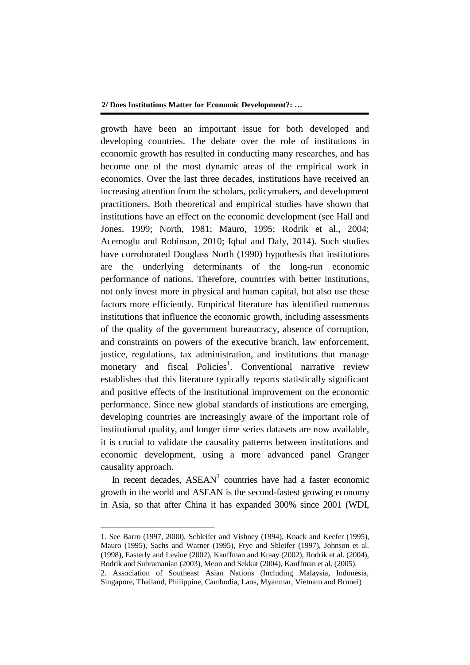growth have been an important issue for both developed and developing countries. The debate over the role of institutions in economic growth has resulted in conducting many researches, and has become one of the most dynamic areas of the empirical work in economics. Over the last three decades, institutions have received an increasing attention from the scholars, policymakers, and development practitioners. Both theoretical and empirical studies have shown that institutions have an effect on the economic development (see Hall and Jones, 1999; North, 1981; Mauro, 1995; Rodrik et al., 2004; Acemoglu and Robinson, 2010; Iqbal and Daly, 2014). Such studies have corroborated Douglass North (1990) hypothesis that institutions are the underlying determinants of the long-run economic performance of nations. Therefore, countries with better institutions, not only invest more in physical and human capital, but also use these factors more efficiently. Empirical literature has identified numerous institutions that influence the economic growth, including assessments of the quality of the government bureaucracy, absence of corruption, and constraints on powers of the executive branch, law enforcement, justice, regulations, tax administration, and institutions that manage monetary and fiscal Policies<sup>1</sup>. Conventional narrative review establishes that this literature typically reports statistically significant and positive effects of the institutional improvement on the economic performance. Since new global standards of institutions are emerging, developing countries are increasingly aware of the important role of institutional quality, and longer time series datasets are now available, it is crucial to validate the causality patterns between institutions and economic development, using a more advanced panel Granger causality approach.

In recent decades,  $ASEAN<sup>2</sup>$  countries have had a faster economic growth in the world and ASEAN is the second-fastest growing economy in Asia, so that after China it has expanded 300% since 2001 (WDI,

**.** 

<sup>1.</sup> See Barro (1997, 2000), Schleifer and Vishney (1994), Knack and Keefer (1995), Mauro (1995), Sachs and Warner (1995), Frye and Shleifer (1997), Johnson et al. (1998), Easterly and Levine (2002), Kauffman and Kraay (2002), Rodrik et al. (2004), Rodrik and Subramanian (2003), Meon and Sekkat (2004), Kauffman et al. (2005). 2. Association of Southeast Asian Nations (Including Malaysia, Indonesia, Singapore, Thailand, Philippine, Cambodia, Laos, Myanmar, Vietnam and Brunei)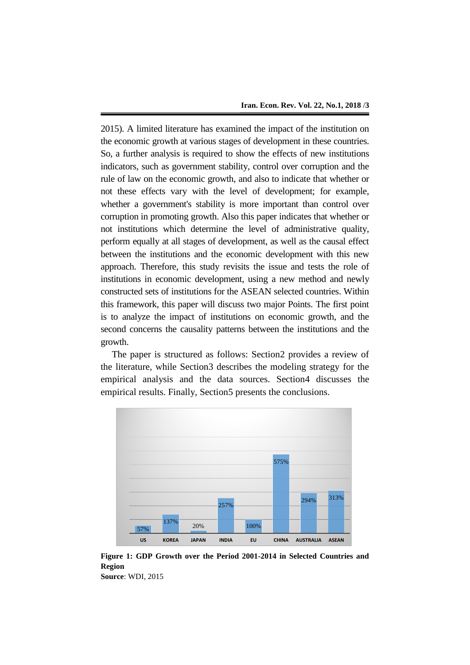2015). A limited literature has examined the impact of the institution on the economic growth at various stages of development in these countries. So, a further analysis is required to show the effects of new institutions indicators, such as government stability, control over corruption and the rule of law on the economic growth, and also to indicate that whether or not these effects vary with the level of development; for example, whether a government's stability is more important than control over corruption in promoting growth. Also this paper indicates that whether or not institutions which determine the level of administrative quality, perform equally at all stages of development, as well as the causal effect between the institutions and the economic development with this new approach. Therefore, this study revisits the issue and tests the role of institutions in economic development, using a new method and newly constructed sets of institutions for the ASEAN selected countries. Within this framework, this paper will discuss two major Points. The first point is to analyze the impact of institutions on economic growth, and the second concerns the causality patterns between the institutions and the growth.

The paper is structured as follows: Section2 provides a review of the literature, while Section3 describes the modeling strategy for the empirical analysis and the data sources. Section4 discusses the empirical results. Finally, Section5 presents the conclusions.



**Figure 1: GDP Growth over the Period 2001-2014 in Selected Countries and Region Source**: WDI, 2015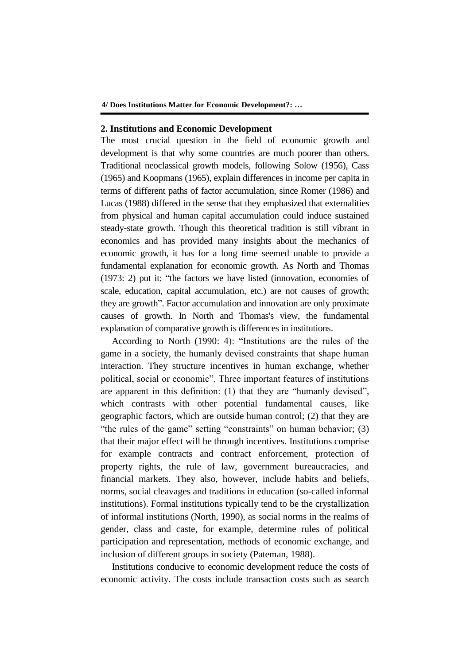## **2. Institutions and Economic Development**

The most crucial question in the field of economic growth and development is that why some countries are much poorer than others. Traditional neoclassical growth models, following Solow (1956), Cass (1965) and Koopmans (1965), explain differences in income per capita in terms of different paths of factor accumulation, since Romer (1986) and Lucas (1988) differed in the sense that they emphasized that externalities from physical and human capital accumulation could induce sustained steady-state growth. Though this theoretical tradition is still vibrant in economics and has provided many insights about the mechanics of economic growth, it has for a long time seemed unable to provide a fundamental explanation for economic growth. As North and Thomas (1973: 2) put it: "the factors we have listed (innovation, economies of scale, education, capital accumulation, etc.) are not causes of growth; they are growth". Factor accumulation and innovation are only proximate causes of growth. In North and Thomas's view, the fundamental explanation of comparative growth is differences in institutions.

According to North (1990: 4): "Institutions are the rules of the game in a society, the humanly devised constraints that shape human interaction. They structure incentives in human exchange, whether political, social or economic". Three important features of institutions are apparent in this definition: (1) that they are "humanly devised", which contrasts with other potential fundamental causes, like geographic factors, which are outside human control; (2) that they are "the rules of the game" setting "constraints" on human behavior; (3) that their major effect will be through incentives. Institutions comprise for example contracts and contract enforcement, protection of property rights, the rule of law, government bureaucracies, and financial markets. They also, however, include habits and beliefs, norms, social cleavages and traditions in education (so-called informal institutions). Formal institutions typically tend to be the crystallization of informal institutions (North, 1990), as social norms in the realms of gender, class and caste, for example, determine rules of political participation and representation, methods of economic exchange, and inclusion of different groups in society (Pateman, 1988).

Institutions conducive to economic development reduce the costs of economic activity. The costs include transaction costs such as search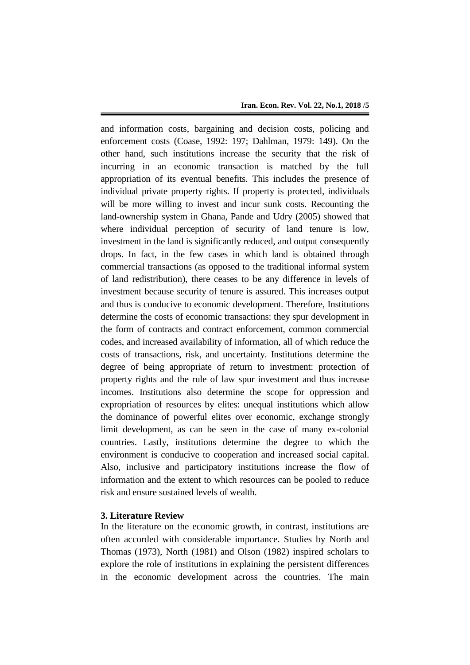and information costs, bargaining and decision costs, policing and enforcement costs (Coase, 1992: 197; Dahlman, 1979: 149). On the other hand, such institutions increase the security that the risk of incurring in an economic transaction is matched by the full appropriation of its eventual benefits. This includes the presence of individual private property rights. If property is protected, individuals will be more willing to invest and incur sunk costs. Recounting the land-ownership system in Ghana, Pande and Udry (2005) showed that where individual perception of security of land tenure is low, investment in the land is significantly reduced, and output consequently drops. In fact, in the few cases in which land is obtained through commercial transactions (as opposed to the traditional informal system of land redistribution), there ceases to be any difference in levels of investment because security of tenure is assured. This increases output and thus is conducive to economic development. Therefore, Institutions determine the costs of economic transactions: they spur development in the form of contracts and contract enforcement, common commercial codes, and increased availability of information, all of which reduce the costs of transactions, risk, and uncertainty. Institutions determine the degree of being appropriate of return to investment: protection of property rights and the rule of law spur investment and thus increase incomes. Institutions also determine the scope for oppression and expropriation of resources by elites: unequal institutions which allow the dominance of powerful elites over economic, exchange strongly limit development, as can be seen in the case of many ex-colonial countries. Lastly, institutions determine the degree to which the environment is conducive to cooperation and increased social capital. Also, inclusive and participatory institutions increase the flow of information and the extent to which resources can be pooled to reduce risk and ensure sustained levels of wealth.

## **3. Literature Review**

In the literature on the economic growth, in contrast, institutions are often accorded with considerable importance. Studies by North and Thomas (1973), North (1981) and Olson (1982) inspired scholars to explore the role of institutions in explaining the persistent differences in the economic development across the countries. The main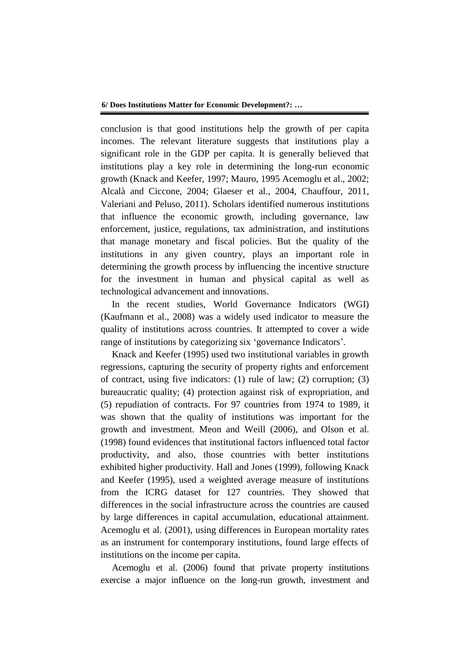conclusion is that good institutions help the growth of per capita incomes. The relevant literature suggests that institutions play a significant role in the GDP per capita. It is generally believed that institutions play a key role in determining the long-run economic growth (Knack and Keefer, 1997; Mauro, 1995 Acemoglu et al., 2002; Alcalà and Ciccone, 2004; Glaeser et al., 2004, Chauffour, 2011, Valeriani and Peluso, 2011). Scholars identified numerous institutions that influence the economic growth, including governance, law enforcement, justice, regulations, tax administration, and institutions that manage monetary and fiscal policies. But the quality of the institutions in any given country, plays an important role in determining the growth process by influencing the incentive structure for the investment in human and physical capital as well as technological advancement and innovations.

In the recent studies, World Governance Indicators (WGI) (Kaufmann et al., 2008) was a widely used indicator to measure the quality of institutions across countries. It attempted to cover a wide range of institutions by categorizing six 'governance Indicators'.

Knack and Keefer (1995) used two institutional variables in growth regressions, capturing the security of property rights and enforcement of contract, using five indicators: (1) rule of law; (2) corruption; (3) bureaucratic quality; (4) protection against risk of expropriation, and (5) repudiation of contracts. For 97 countries from 1974 to 1989, it was shown that the quality of institutions was important for the growth and investment. Meon and Weill (2006), and Olson et al. (1998) found evidences that institutional factors influenced total factor productivity, and also, those countries with better institutions exhibited higher productivity. Hall and Jones (1999), following Knack and Keefer (1995), used a weighted average measure of institutions from the ICRG dataset for 127 countries. They showed that differences in the social infrastructure across the countries are caused by large differences in capital accumulation, educational attainment. Acemoglu et al. (2001), using differences in European mortality rates as an instrument for contemporary institutions, found large effects of institutions on the income per capita.

Acemoglu et al. (2006) found that private property institutions exercise a major influence on the long-run growth, investment and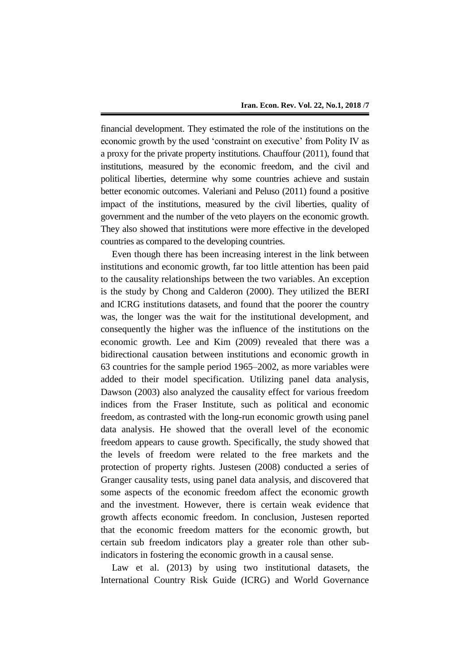financial development. They estimated the role of the institutions on the economic growth by the used 'constraint on executive' from Polity IV as a proxy for the private property institutions. Chauffour (2011), found that institutions, measured by the economic freedom, and the civil and political liberties, determine why some countries achieve and sustain better economic outcomes. Valeriani and Peluso (2011) found a positive impact of the institutions, measured by the civil liberties, quality of government and the number of the veto players on the economic growth. They also showed that institutions were more effective in the developed countries as compared to the developing countries.

Even though there has been increasing interest in the link between institutions and economic growth, far too little attention has been paid to the causality relationships between the two variables. An exception is the study by Chong and Calderon (2000). They utilized the BERI and ICRG institutions datasets, and found that the poorer the country was, the longer was the wait for the institutional development, and consequently the higher was the influence of the institutions on the economic growth. Lee and Kim (2009) revealed that there was a bidirectional causation between institutions and economic growth in 63 countries for the sample period 1965–2002, as more variables were added to their model specification. Utilizing panel data analysis, Dawson (2003) also analyzed the causality effect for various freedom indices from the Fraser Institute, such as political and economic freedom, as contrasted with the long-run economic growth using panel data analysis. He showed that the overall level of the economic freedom appears to cause growth. Specifically, the study showed that the levels of freedom were related to the free markets and the protection of property rights. Justesen (2008) conducted a series of Granger causality tests, using panel data analysis, and discovered that some aspects of the economic freedom affect the economic growth and the investment. However, there is certain weak evidence that growth affects economic freedom. In conclusion, Justesen reported that the economic freedom matters for the economic growth, but certain sub freedom indicators play a greater role than other subindicators in fostering the economic growth in a causal sense.

Law et al. (2013) by using two institutional datasets, the International Country Risk Guide (ICRG) and World Governance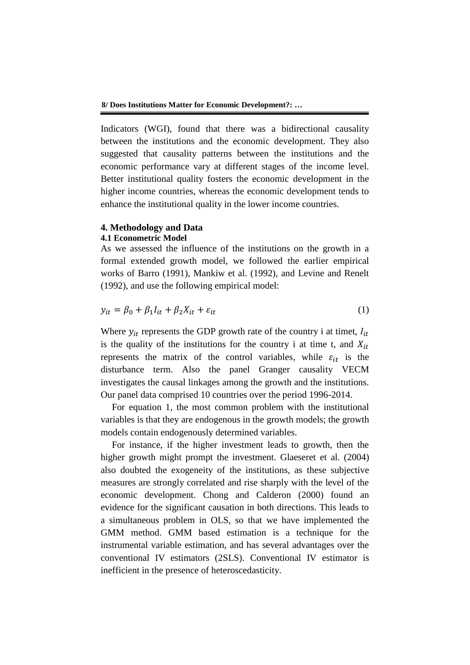**8/ Does Institutions Matter for Economic Development?: …**

Indicators (WGI), found that there was a bidirectional causality between the institutions and the economic development. They also suggested that causality patterns between the institutions and the economic performance vary at different stages of the income level. Better institutional quality fosters the economic development in the higher income countries, whereas the economic development tends to enhance the institutional quality in the lower income countries.

## **4. Methodology and Data**

#### **4.1 Econometric Model**

As we assessed the influence of the institutions on the growth in a formal extended growth model, we followed the earlier empirical works of Barro (1991), Mankiw et al. (1992), and Levine and Renelt (1992), and use the following empirical model:

$$
y_{it} = \beta_0 + \beta_1 I_{it} + \beta_2 X_{it} + \varepsilon_{it}
$$
 (1)

Where  $y_{it}$  represents the GDP growth rate of the country i at timet,  $I_{it}$ is the quality of the institutions for the country i at time t, and  $X_{it}$ represents the matrix of the control variables, while  $\varepsilon_{it}$  is the disturbance term. Also the panel Granger causality VECM investigates the causal linkages among the growth and the institutions. Our panel data comprised 10 countries over the period 1996-2014.

For equation 1, the most common problem with the institutional variables is that they are endogenous in the growth models; the growth models contain endogenously determined variables.

For instance, if the higher investment leads to growth, then the higher growth might prompt the investment. Glaeseret et al. (2004) also doubted the exogeneity of the institutions, as these subjective measures are strongly correlated and rise sharply with the level of the economic development. Chong and Calderon (2000) found an evidence for the significant causation in both directions. This leads to a simultaneous problem in OLS, so that we have implemented the GMM method. GMM based estimation is a technique for the instrumental variable estimation, and has several advantages over the conventional IV estimators (2SLS). Conventional IV estimator is inefficient in the presence of heteroscedasticity.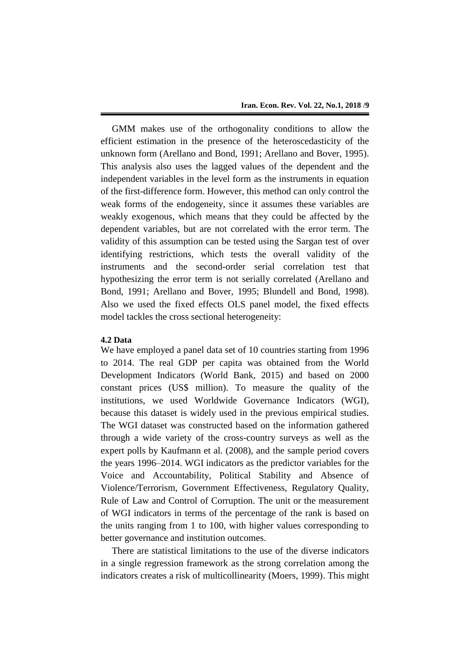GMM makes use of the orthogonality conditions to allow the efficient estimation in the presence of the heteroscedasticity of the unknown form (Arellano and Bond, 1991; Arellano and Bover, 1995). This analysis also uses the lagged values of the dependent and the independent variables in the level form as the instruments in equation of the first-difference form. However, this method can only control the weak forms of the endogeneity, since it assumes these variables are weakly exogenous, which means that they could be affected by the dependent variables, but are not correlated with the error term. The validity of this assumption can be tested using the Sargan test of over identifying restrictions, which tests the overall validity of the instruments and the second-order serial correlation test that hypothesizing the error term is not serially correlated (Arellano and Bond, 1991; Arellano and Bover, 1995; Blundell and Bond, 1998). Also we used the fixed effects OLS panel model, the fixed effects model tackles the cross sectional heterogeneity:

#### **4.2 Data**

We have employed a panel data set of 10 countries starting from 1996 to 2014. The real GDP per capita was obtained from the World Development Indicators (World Bank, 2015) and based on 2000 constant prices (US\$ million). To measure the quality of the institutions, we used Worldwide Governance Indicators (WGI), because this dataset is widely used in the previous empirical studies. The WGI dataset was constructed based on the information gathered through a wide variety of the cross-country surveys as well as the expert polls by Kaufmann et al. (2008), and the sample period covers the years 1996–2014. WGI indicators as the predictor variables for the Voice and Accountability, Political Stability and Absence of Violence/Terrorism, Government Effectiveness, Regulatory Quality, Rule of Law and Control of Corruption. The unit or the measurement of WGI indicators in terms of the percentage of the rank is based on the units ranging from 1 to 100, with higher values corresponding to better governance and institution outcomes.

There are statistical limitations to the use of the diverse indicators in a single regression framework as the strong correlation among the indicators creates a risk of multicollinearity (Moers, 1999). This might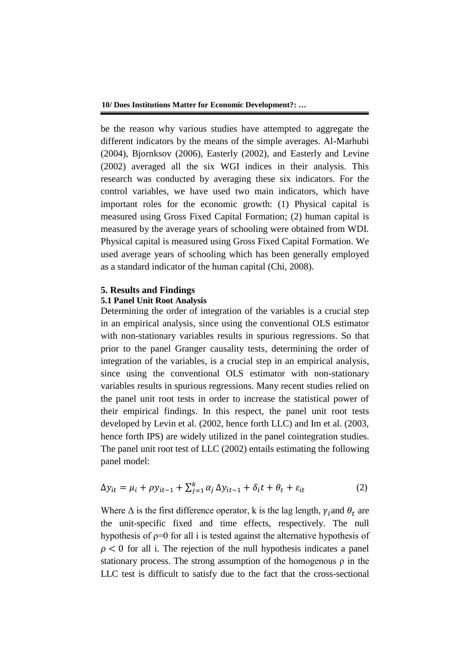be the reason why various studies have attempted to aggregate the different indicators by the means of the simple averages. Al-Marhubi (2004), Bjornksov (2006), Easterly (2002), and Easterly and Levine (2002) averaged all the six WGI indices in their analysis. This research was conducted by averaging these six indicators. For the control variables, we have used two main indicators, which have important roles for the economic growth: (1) Physical capital is measured using Gross Fixed Capital Formation; (2) human capital is measured by the average years of schooling were obtained from WDI. Physical capital is measured using Gross Fixed Capital Formation. We used average years of schooling which has been generally employed as a standard indicator of the human capital (Chi, 2008).

## **5. Results and Findings**

## **5.1 Panel Unit Root Analysis**

Determining the order of integration of the variables is a crucial step in an empirical analysis, since using the conventional OLS estimator with non-stationary variables results in spurious regressions. So that prior to the panel Granger causality tests, determining the order of integration of the variables, is a crucial step in an empirical analysis, since using the conventional OLS estimator with non-stationary variables results in spurious regressions. Many recent studies relied on the panel unit root tests in order to increase the statistical power of their empirical findings. In this respect, the panel unit root tests developed by Levin et al. (2002, hence forth LLC) and Im et al. (2003, hence forth IPS) are widely utilized in the panel cointegration studies. The panel unit root test of LLC (2002) entails estimating the following panel model:

$$
\Delta y_{it} = \mu_i + \rho y_{it-1} + \sum_{j=1}^{k} \alpha_j \Delta y_{it-1} + \delta_i t + \theta_t + \varepsilon_{it}
$$
\n(2)

Where  $\Delta$  is the first difference operator, k is the lag length,  $\gamma_i$  and  $\theta_t$  are the unit-specific fixed and time effects, respectively. The null hypothesis of  $p=0$  for all i is tested against the alternative hypothesis of  $\rho$  < 0 for all i. The rejection of the null hypothesis indicates a panel stationary process. The strong assumption of the homogenous  $\rho$  in the LLC test is difficult to satisfy due to the fact that the cross-sectional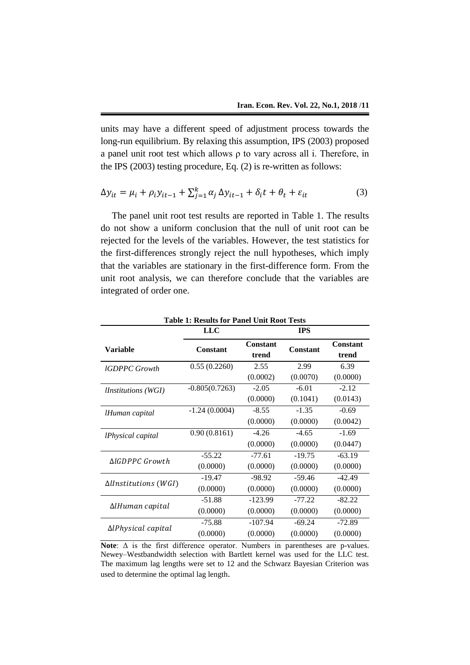units may have a different speed of adjustment process towards the long-run equilibrium. By relaxing this assumption, IPS (2003) proposed a panel unit root test which allows ρ to vary across all i. Therefore, in the IPS (2003) testing procedure, Eq. (2) is re-written as follows:

$$
\Delta y_{it} = \mu_i + \rho_i y_{it-1} + \sum_{j=1}^k \alpha_j \Delta y_{it-1} + \delta_i t + \theta_t + \varepsilon_{it}
$$
\n(3)

The panel unit root test results are reported in Table 1. The results do not show a uniform conclusion that the null of unit root can be rejected for the levels of the variables. However, the test statistics for the first-differences strongly reject the null hypotheses, which imply that the variables are stationary in the first-difference form. From the unit root analysis, we can therefore conclude that the variables are integrated of order one.

|                                        | <b>LLC</b>       |                          | <b>IPS</b>      |                          |
|----------------------------------------|------------------|--------------------------|-----------------|--------------------------|
| <b>Variable</b>                        | <b>Constant</b>  | <b>Constant</b><br>trend | <b>Constant</b> | <b>Constant</b><br>trend |
| <b>IGDPPC</b> Growth                   | 0.55(0.2260)     | 2.55                     | 2.99            | 6.39                     |
|                                        |                  | (0.0002)                 | (0.0070)        | (0.0000)                 |
| <i>Unstitutions</i> (WGI)              | $-0.805(0.7263)$ | $-2.05$                  | $-6.01$         | $-2.12$                  |
|                                        |                  | (0.0000)                 | (0.1041)        | (0.0143)                 |
| lHuman capital                         | $-1.24(0.0004)$  | $-8.55$                  | $-1.35$         | $-0.69$                  |
|                                        |                  | (0.0000)                 | (0.0000)        | (0.0042)                 |
| <i><u><b>IPhysical capital</b></u></i> | 0.90(0.8161)     | $-4.26$                  | $-4.65$         | $-1.69$                  |
|                                        |                  | (0.0000)                 | (0.0000)        | (0.0447)                 |
| ΔlGDPPC Growth                         | $-55.22$         | $-77.61$                 | $-19.75$        | $-63.19$                 |
|                                        | (0.0000)         | (0.0000)                 | (0.0000)        | (0.0000)                 |
| $\Delta$ llnstitutions (WGI)           | $-19.47$         | $-98.92$                 | $-59.46$        | $-42.49$                 |
|                                        | (0.0000)         | (0.0000)                 | (0.0000)        | (0.0000)                 |
|                                        | $-51.88$         | $-123.99$                | $-77.22$        | $-82.22$                 |
| $\Delta$ lHuman capital                | (0.0000)         | (0.0000)                 | (0.0000)        | (0.0000)                 |
|                                        | $-75.88$         | $-107.94$                | $-69.24$        | $-72.89$                 |
| ΔlPhysical capital                     | (0.0000)         | (0.0000)                 | (0.0000)        | (0.0000)                 |

**Table 1: Results for Panel Unit Root Tests**

**Note**: Δ is the first difference operator. Numbers in parentheses are p-values. Newey–Westbandwidth selection with Bartlett kernel was used for the LLC test. The maximum lag lengths were set to 12 and the Schwarz Bayesian Criterion was used to determine the optimal lag length.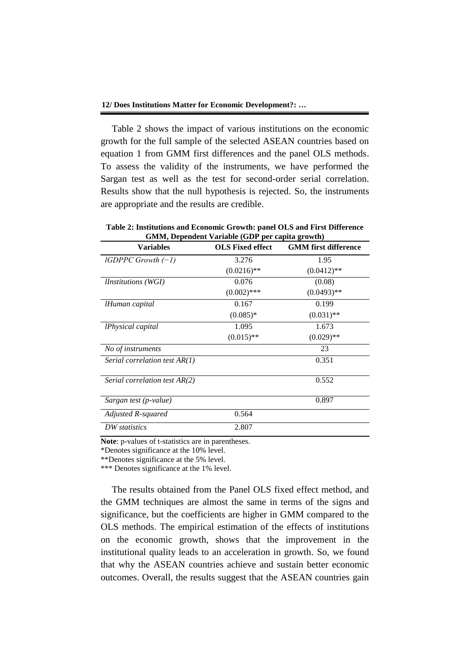Table 2 shows the impact of various institutions on the economic growth for the full sample of the selected ASEAN countries based on equation 1 from GMM first differences and the panel OLS methods. To assess the validity of the instruments, we have performed the Sargan test as well as the test for second-order serial correlation. Results show that the null hypothesis is rejected. So, the instruments are appropriate and the results are credible.

|                                                        | Table 2: Institutions and Economic Growth: panel OLS and First Difference |                             |  |  |
|--------------------------------------------------------|---------------------------------------------------------------------------|-----------------------------|--|--|
| <b>GMM, Dependent Variable (GDP per capita growth)</b> |                                                                           |                             |  |  |
| Variables                                              | OLS Fived effect                                                          | <b>CMM</b> first difference |  |  |

| <b>Variables</b>                       | <b>OLS Fixed effect</b> | <b>GMM</b> first difference |
|----------------------------------------|-------------------------|-----------------------------|
| $lGDPPC$ Growth $(-1)$                 | 3.276                   | 1.95                        |
|                                        | $(0.0216)$ **           | $(0.0412)$ **               |
| <i>Unstitutions</i> (WGI)              | 0.076                   | (0.08)                      |
|                                        | $(0.002)$ ***           | $(0.0493)$ **               |
| lHuman capital                         | 0.167                   | 0.199                       |
|                                        | $(0.085)*$              | $(0.031)$ **                |
| <i><u><b>IPhysical capital</b></u></i> | 1.095                   | 1.673                       |
|                                        | $(0.015)$ **            | $(0.029)$ **                |
| No of instruments                      |                         | 23                          |
| Serial correlation test AR(1)          |                         | 0.351                       |
| Serial correlation test AR(2)          |                         | 0.552                       |
| Sargan test (p-value)                  |                         | 0.897                       |
| Adjusted R-squared                     | 0.564                   |                             |
| DW statistics                          | 2.807                   |                             |

**Note**: p-values of t-statistics are in parentheses.

\*Denotes significance at the 10% level.

\*\*Denotes significance at the 5% level.

\*\*\* Denotes significance at the 1% level.

The results obtained from the Panel OLS fixed effect method, and the GMM techniques are almost the same in terms of the signs and significance, but the coefficients are higher in GMM compared to the OLS methods. The empirical estimation of the effects of institutions on the economic growth, shows that the improvement in the institutional quality leads to an acceleration in growth. So, we found that why the ASEAN countries achieve and sustain better economic outcomes. Overall, the results suggest that the ASEAN countries gain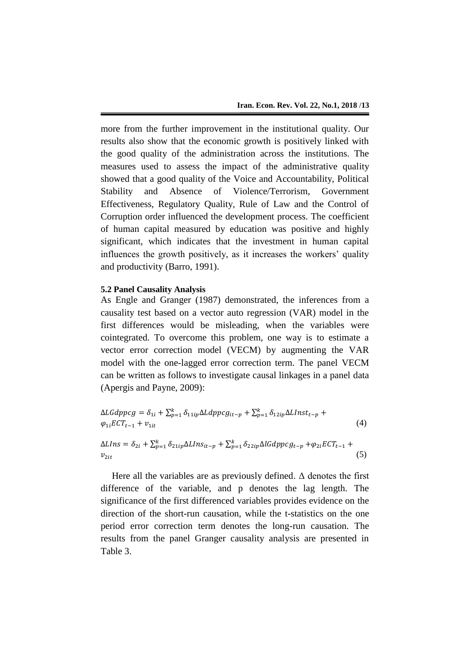more from the further improvement in the institutional quality. Our results also show that the economic growth is positively linked with the good quality of the administration across the institutions. The measures used to assess the impact of the administrative quality showed that a good quality of the Voice and Accountability, Political Stability and Absence of Violence/Terrorism, Government Effectiveness, Regulatory Quality, Rule of Law and the Control of Corruption order influenced the development process. The coefficient of human capital measured by education was positive and highly significant, which indicates that the investment in human capital influences the growth positively, as it increases the workers' quality and productivity (Barro, 1991).

## **5.2 Panel Causality Analysis**

As Engle and Granger (1987) demonstrated, the inferences from a causality test based on a vector auto regression (VAR) model in the first differences would be misleading, when the variables were cointegrated. To overcome this problem, one way is to estimate a vector error correction model (VECM) by augmenting the VAR model with the one-lagged error correction term. The panel VECM can be written as follows to investigate causal linkages in a panel data (Apergis and Payne, 2009):

$$
\Delta LGdppcg = \delta_{1i} + \sum_{p=1}^{k} \delta_{11ip} \Delta Ldppcg_{it-p} + \sum_{p=1}^{k} \delta_{12ip} \Delta Llnst_{t-p} + \varphi_{1i} ECT_{t-1} + \nu_{1it}
$$
\n
$$
(4)
$$

$$
\Delta LIns = \delta_{2i} + \sum_{p=1}^{k} \delta_{21ip} \Delta LIns_{it-p} + \sum_{p=1}^{k} \delta_{22ip} \Delta LGdppcg_{t-p} + \varphi_{2i} ECT_{t-1} + \varphi_{2it}
$$
\n(5)

Here all the variables are as previously defined.  $\Delta$  denotes the first difference of the variable, and p denotes the lag length. The significance of the first differenced variables provides evidence on the direction of the short-run causation, while the t-statistics on the one period error correction term denotes the long-run causation. The results from the panel Granger causality analysis are presented in Table 3.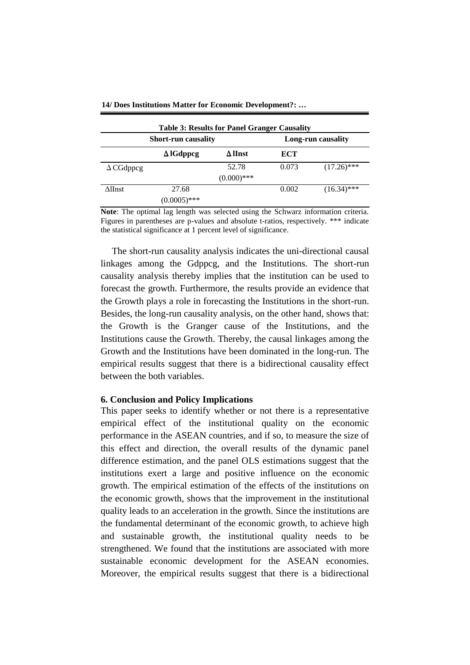|                  | <b>Short-run causality</b> |                | Long-run causality |               |
|------------------|----------------------------|----------------|--------------------|---------------|
|                  | $\Delta$ IGdppcg           | $\Delta$ lInst | ECT                |               |
| $\Delta$ CGdppcg |                            | 52.78          | 0.073              | $(17.26)$ *** |
|                  |                            | $(0.000)$ ***  |                    |               |
| ∆lInst           | 27.68                      |                | 0.002              | $(16.34)$ *** |
|                  | $(0.0005)$ ***             |                |                    |               |

**14/ Does Institutions Matter for Economic Development?: …**

**Note**: The optimal lag length was selected using the Schwarz information criteria. Figures in parentheses are p-values and absolute t-ratios, respectively. \*\*\* indicate the statistical significance at 1 percent level of significance.

The short-run causality analysis indicates the uni-directional causal linkages among the Gdppcg, and the Institutions. The short-run causality analysis thereby implies that the institution can be used to forecast the growth. Furthermore, the results provide an evidence that the Growth plays a role in forecasting the Institutions in the short-run. Besides, the long-run causality analysis, on the other hand, shows that: the Growth is the Granger cause of the Institutions, and the Institutions cause the Growth. Thereby, the causal linkages among the Growth and the Institutions have been dominated in the long-run. The empirical results suggest that there is a bidirectional causality effect between the both variables.

## **6. Conclusion and Policy Implications**

This paper seeks to identify whether or not there is a representative empirical effect of the institutional quality on the economic performance in the ASEAN countries, and if so, to measure the size of this effect and direction, the overall results of the dynamic panel difference estimation, and the panel OLS estimations suggest that the institutions exert a large and positive influence on the economic growth. The empirical estimation of the effects of the institutions on the economic growth, shows that the improvement in the institutional quality leads to an acceleration in the growth. Since the institutions are the fundamental determinant of the economic growth, to achieve high and sustainable growth, the institutional quality needs to be strengthened. We found that the institutions are associated with more sustainable economic development for the ASEAN economies. Moreover, the empirical results suggest that there is a bidirectional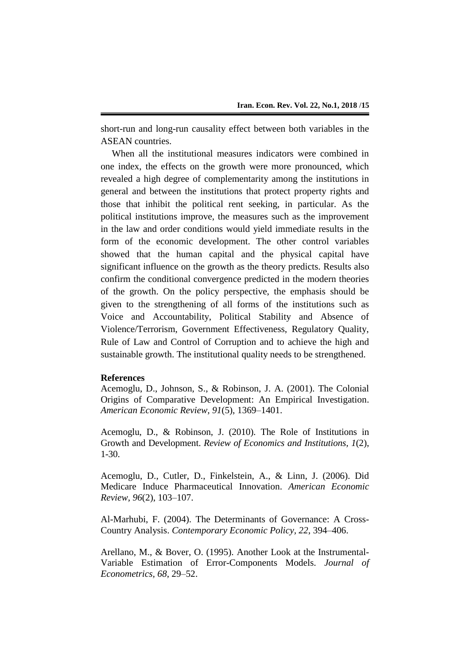short-run and long-run causality effect between both variables in the ASEAN countries.

When all the institutional measures indicators were combined in one index, the effects on the growth were more pronounced, which revealed a high degree of complementarity among the institutions in general and between the institutions that protect property rights and those that inhibit the political rent seeking, in particular. As the political institutions improve, the measures such as the improvement in the law and order conditions would yield immediate results in the form of the economic development. The other control variables showed that the human capital and the physical capital have significant influence on the growth as the theory predicts. Results also confirm the conditional convergence predicted in the modern theories of the growth. On the policy perspective, the emphasis should be given to the strengthening of all forms of the institutions such as Voice and Accountability, Political Stability and Absence of Violence/Terrorism, Government Effectiveness, Regulatory Quality, Rule of Law and Control of Corruption and to achieve the high and sustainable growth. The institutional quality needs to be strengthened.

## **References**

Acemoglu, D., Johnson, S., & Robinson, J. A. (2001). The Colonial Origins of Comparative Development: An Empirical Investigation. *American Economic Review, 91*(5), 1369–1401.

Acemoglu, D., & Robinson, J. (2010). The Role of Institutions in Growth and Development. *Review of Economics and Institutions, 1*(2), 1-30.

Acemoglu, D., Cutler, D., Finkelstein, A., & Linn, J. (2006). Did Medicare Induce Pharmaceutical Innovation. *American Economic Review, 96*(2), 103–107.

Al-Marhubi, F. (2004). The Determinants of Governance: A Cross-Country Analysis. *Contemporary Economic Policy, 22*, 394–406.

Arellano, M., & Bover, O. (1995). Another Look at the Instrumental-Variable Estimation of Error-Components Models. *Journal of Econometrics, 68*, 29–52.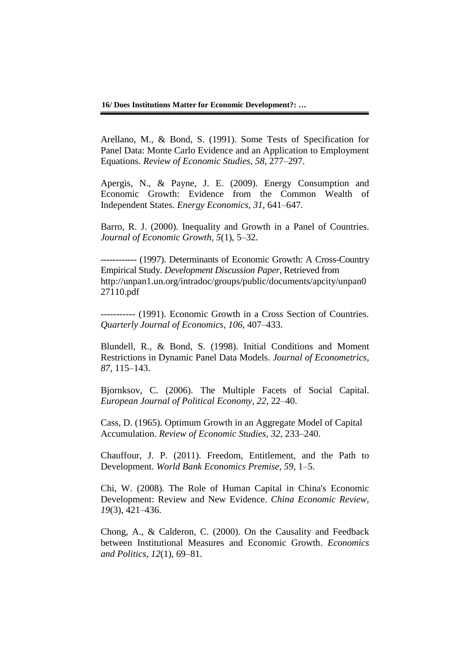Arellano, M., & Bond, S. (1991). Some Tests of Specification for Panel Data: Monte Carlo Evidence and an Application to Employment Equations. *Review of Economic Studies, 58*, 277–297.

Apergis, N., & Payne, J. E. (2009). Energy Consumption and Economic Growth: Evidence from the Common Wealth of Independent States. *Energy Economics, 31*, 641–647.

Barro, R. J. (2000). Inequality and Growth in a Panel of Countries. *Journal of Economic Growth, 5*(1), 5–32.

------------ (1997). Determinants of Economic Growth: A Cross-Country Empirical Study. *Development Discussion Paper,* Retrieved from http://unpan1.un.org/intradoc/groups/public/documents/apcity/unpan0 27110.pdf

----------- (1991). Economic Growth in a Cross Section of Countries. *Quarterly Journal of Economics, 106*, 407–433.

Blundell, R., & Bond, S. (1998). Initial Conditions and Moment Restrictions in Dynamic Panel Data Models. *Journal of Econometrics, 87*, 115–143.

Bjornksov, C. (2006). The Multiple Facets of Social Capital. *European Journal of Political Economy, 22*, 22–40.

Cass, D. (1965). Optimum Growth in an Aggregate Model of Capital Accumulation. *Review of Economic Studies, 32*, 233–240.

Chauffour, J. P. (2011). Freedom, Entitlement, and the Path to Development. *World Bank Economics Premise, 59*, 1–5.

Chi, W. (2008). The Role of Human Capital in China's Economic Development: Review and New Evidence. *China Economic Review, 19*(3), 421–436.

Chong, A., & Calderon, C. (2000). On the Causality and Feedback between Institutional Measures and Economic Growth. *Economics and Politics, 12*(1), 69–81.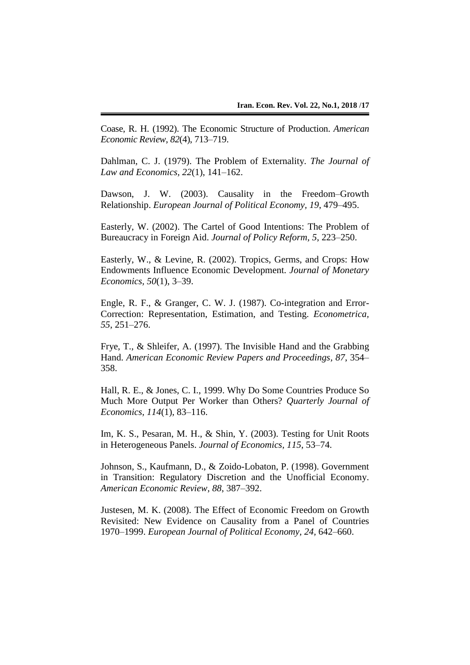Coase, R. H. (1992). The Economic Structure of Production. *American Economic Review*, *82*(4), 713–719.

Dahlman, C. J. (1979). The Problem of Externality. *The Journal of Law and Economics, 22*(1), 141–162.

Dawson, J. W. (2003). Causality in the Freedom–Growth Relationship. *European Journal of Political Economy, 19*, 479–495.

Easterly, W. (2002). The Cartel of Good Intentions: The Problem of Bureaucracy in Foreign Aid. *Journal of Policy Reform, 5*, 223–250.

Easterly, W., & Levine, R. (2002). Tropics, Germs, and Crops: How Endowments Influence Economic Development. *Journal of Monetary Economics, 50*(1), 3–39.

Engle, R. F., & Granger, C. W. J. (1987). Co-integration and Error-Correction: Representation, Estimation, and Testing. *Econometrica, 55*, 251–276.

Frye, T., & Shleifer, A. (1997). The Invisible Hand and the Grabbing Hand. *American Economic Review Papers and Proceedings, 87*, 354– 358.

Hall, R. E., & Jones, C. I., 1999. Why Do Some Countries Produce So Much More Output Per Worker than Others? *Quarterly Journal of Economics, 114*(1), 83–116.

Im, K. S., Pesaran, M. H., & Shin, Y. (2003). Testing for Unit Roots in Heterogeneous Panels. *Journal of Economics, 115*, 53–74.

Johnson, S., Kaufmann, D., & Zoido-Lobaton, P. (1998). Government in Transition: Regulatory Discretion and the Unofficial Economy. *American Economic Review, 88*, 387–392.

Justesen, M. K. (2008). The Effect of Economic Freedom on Growth Revisited: New Evidence on Causality from a Panel of Countries 1970–1999. *European Journal of Political Economy, 24,* 642–660.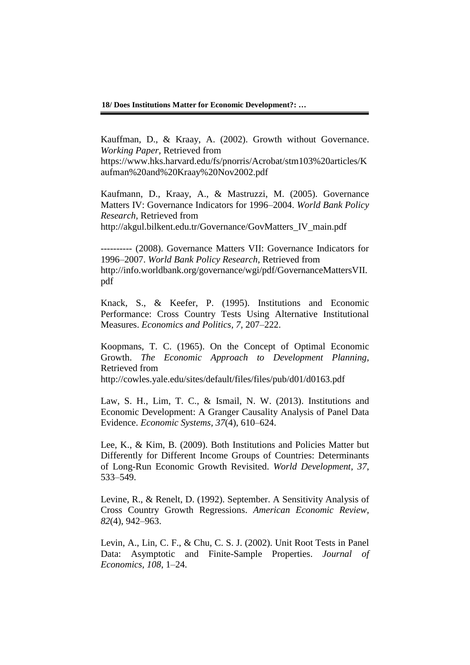**18/ Does Institutions Matter for Economic Development?: …**

Kauffman, D., & Kraay, A. (2002). Growth without Governance. *Working Paper,* Retrieved from

https://www.hks.harvard.edu/fs/pnorris/Acrobat/stm103%20articles/K aufman%20and%20Kraay%20Nov2002.pdf

Kaufmann, D., Kraay, A., & Mastruzzi, M. (2005). Governance Matters IV: Governance Indicators for 1996–2004. *World Bank Policy Research*, Retrieved from

http://akgul.bilkent.edu.tr/Governance/GovMatters\_IV\_main.pdf

---------- (2008). Governance Matters VII: Governance Indicators for 1996–2007. *World Bank Policy Research*, Retrieved from http://info.worldbank.org/governance/wgi/pdf/GovernanceMattersVII. pdf

Knack, S., & Keefer, P. (1995). Institutions and Economic Performance: Cross Country Tests Using Alternative Institutional Measures. *Economics and Politics, 7,* 207–222.

Koopmans, T. C. (1965). On the Concept of Optimal Economic Growth. *The Economic Approach to Development Planning*, Retrieved from

http://cowles.yale.edu/sites/default/files/files/pub/d01/d0163.pdf

Law, S. H., Lim, T. C., & Ismail, N. W. (2013). Institutions and Economic Development: A Granger Causality Analysis of Panel Data Evidence. *Economic Systems, 37*(4), 610–624.

Lee, K., & Kim, B. (2009). Both Institutions and Policies Matter but Differently for Different Income Groups of Countries: Determinants of Long-Run Economic Growth Revisited. *World Development, 37*, 533–549.

Levine, R., & Renelt, D. (1992). September. A Sensitivity Analysis of Cross Country Growth Regressions. *American Economic Review, 82*(4), 942–963.

Levin, A., Lin, C. F., & Chu, C. S. J. (2002). Unit Root Tests in Panel Data: Asymptotic and Finite-Sample Properties. *Journal of Economics, 108*, 1–24.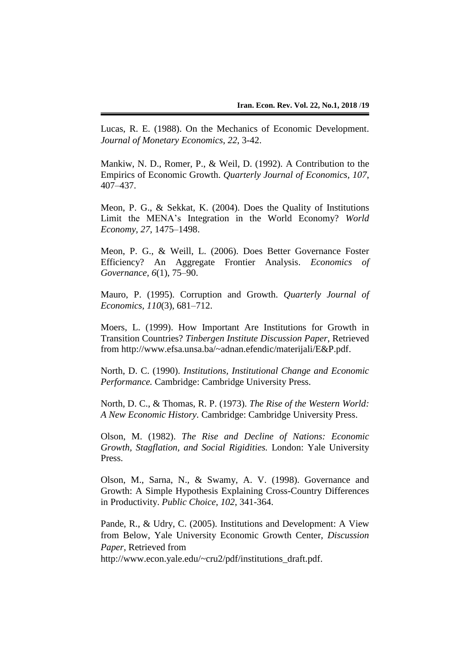Lucas, R. E. (1988). On the Mechanics of Economic Development. *Journal of Monetary Economics*, *22*, 3-42.

Mankiw, N. D., Romer, P., & Weil, D. (1992). A Contribution to the Empirics of Economic Growth. *Quarterly Journal of Economics, 107*, 407–437.

Meon, P. G., & Sekkat, K. (2004). Does the Quality of Institutions Limit the MENA's Integration in the World Economy? *World Economy, 27*, 1475–1498.

Meon, P. G., & Weill, L. (2006). Does Better Governance Foster Efficiency? An Aggregate Frontier Analysis. *Economics of Governance, 6*(1), 75–90.

Mauro, P. (1995). Corruption and Growth. *Quarterly Journal of Economics, 110*(3), 681–712.

Moers, L. (1999). How Important Are Institutions for Growth in Transition Countries? *Tinbergen Institute Discussion Paper*, Retrieved from http://www.efsa.unsa.ba/~adnan.efendic/materijali/E&P.pdf.

North, D. C. (1990). *Institutions, Institutional Change and Economic Performance.* Cambridge: Cambridge University Press.

North, D. C., & Thomas, R. P. (1973). *The Rise of the Western World: A New Economic History.* Cambridge: Cambridge University Press.

Olson, M. (1982). *The Rise and Decline of Nations: Economic Growth, Stagflation, and Social Rigidities.* London: Yale University Press.

Olson, M., Sarna, N., & Swamy, A. V. (1998). Governance and Growth: A Simple Hypothesis Explaining Cross-Country Differences in Productivity. *Public Choice*, *102*, 341-364.

Pande, R., & Udry, C. (2005). Institutions and Development: A View from Below, Yale University Economic Growth Center, *Discussion Paper,* Retrieved from

http://www.econ.yale.edu/~cru2/pdf/institutions\_draft.pdf.